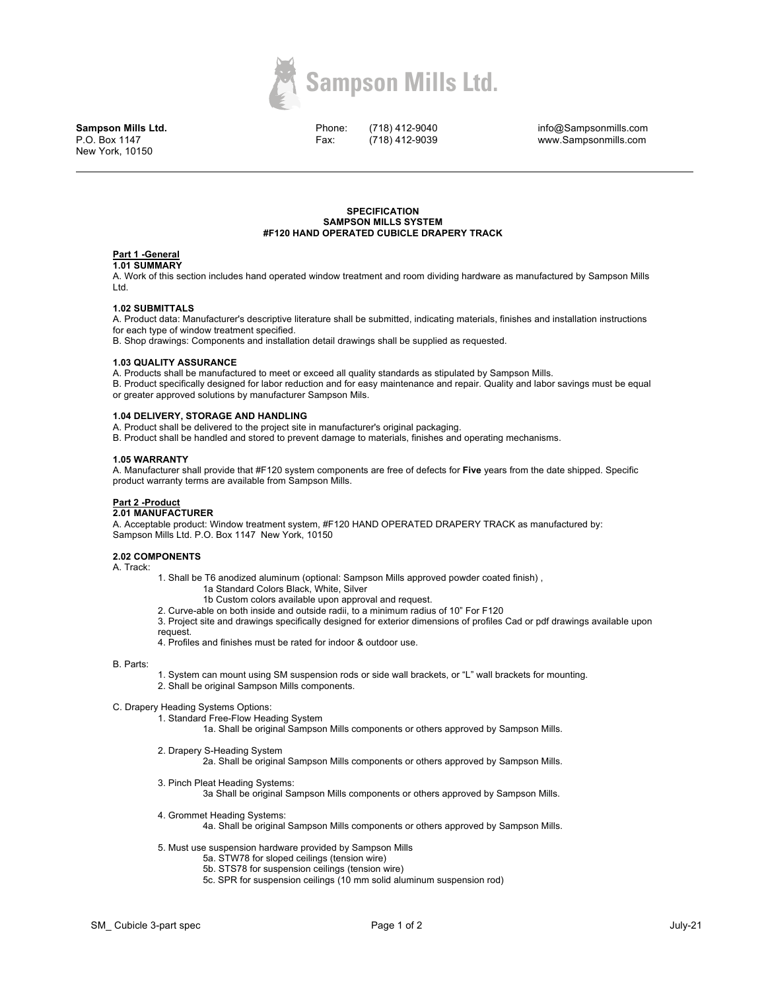

**Sampson Mills Ltd.** P.O. Box 1147 New York, 10150

Phone: Fax:

(718) 412-9040 (718) 412-9039

info@Sampsonmills.com www.Sampsonmills.com

## **SPECIFICATION SAMPSON MILLS SYSTEM #F120 HAND OPERATED CUBICLE DRAPERY TRACK**

# **Part 1 -General**

**1.01 SUMMARY** 

A. Work of this section includes hand operated window treatment and room dividing hardware as manufactured by Sampson Mills Ltd.

# **1.02 SUBMITTALS**

A. Product data: Manufacturer's descriptive literature shall be submitted, indicating materials, finishes and installation instructions for each type of window treatment specified.

B. Shop drawings: Components and installation detail drawings shall be supplied as requested.

## **1.03 QUALITY ASSURANCE**

A. Products shall be manufactured to meet or exceed all quality standards as stipulated by Sampson Mills.

B. Product specifically designed for labor reduction and for easy maintenance and repair. Quality and labor savings must be equal or greater approved solutions by manufacturer Sampson Mils.

# **1.04 DELIVERY, STORAGE AND HANDLING**

A. Product shall be delivered to the project site in manufacturer's original packaging.

B. Product shall be handled and stored to prevent damage to materials, finishes and operating mechanisms.

## **1.05 WARRANTY**

A. Manufacturer shall provide that #F120 system components are free of defects for **Five** years from the date shipped. Specific product warranty terms are available from Sampson Mills.

# **Part 2 -Product**

## **2.01 MANUFACTURER**

A. Acceptable product: Window treatment system, #F120 HAND OPERATED DRAPERY TRACK as manufactured by: Sampson Mills Ltd. P.O. Box 1147 New York, 10150

#### **2.02 COMPONENTS**

A. Track:

1. Shall be T6 anodized aluminum (optional: Sampson Mills approved powder coated finish) ,

- 1a Standard Colors Black, White, Silver
- 1b Custom colors available upon approval and request.

2. Curve-able on both inside and outside radii, to a minimum radius of 10" For F120

3. Project site and drawings specifically designed for exterior dimensions of profiles Cad or pdf drawings available upon request.

4. Profiles and finishes must be rated for indoor & outdoor use.

## B. Parts:

- 1. System can mount using SM suspension rods or side wall brackets, or "L" wall brackets for mounting.
- 2. Shall be original Sampson Mills components.

C. Drapery Heading Systems Options:

- 1. Standard Free-Flow Heading System
	- 1a. Shall be original Sampson Mills components or others approved by Sampson Mills.
- 2. Drapery S-Heading System

2a. Shall be original Sampson Mills components or others approved by Sampson Mills.

- 3. Pinch Pleat Heading Systems: 3a Shall be original Sampson Mills components or others approved by Sampson Mills.
- 4. Grommet Heading Systems:
	- 4a. Shall be original Sampson Mills components or others approved by Sampson Mills.
- 5. Must use suspension hardware provided by Sampson Mills
	- 5a. STW78 for sloped ceilings (tension wire)
	- 5b. STS78 for suspension ceilings (tension wire)
	- 5c. SPR for suspension ceilings (10 mm solid aluminum suspension rod)